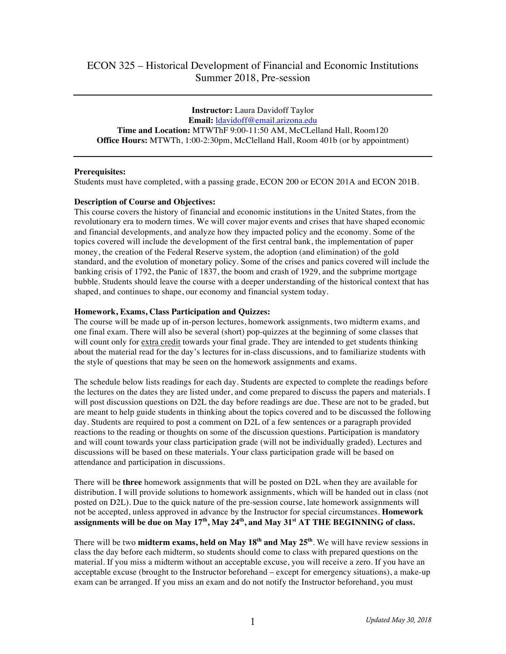**Instructor:** Laura Davidoff Taylor **Email:** ldavidoff@email.arizona.edu **Time and Location:** MTWThF 9:00-11:50 AM, McCLelland Hall, Room120 **Office Hours:** MTWTh, 1:00-2:30pm, McClelland Hall, Room 401b (or by appointment)

# **Prerequisites:**

Students must have completed, with a passing grade, ECON 200 or ECON 201A and ECON 201B.

## **Description of Course and Objectives:**

This course covers the history of financial and economic institutions in the United States, from the revolutionary era to modern times. We will cover major events and crises that have shaped economic and financial developments, and analyze how they impacted policy and the economy. Some of the topics covered will include the development of the first central bank, the implementation of paper money, the creation of the Federal Reserve system, the adoption (and elimination) of the gold standard, and the evolution of monetary policy. Some of the crises and panics covered will include the banking crisis of 1792, the Panic of 1837, the boom and crash of 1929, and the subprime mortgage bubble. Students should leave the course with a deeper understanding of the historical context that has shaped, and continues to shape, our economy and financial system today.

## **Homework, Exams, Class Participation and Quizzes:**

The course will be made up of in-person lectures, homework assignments, two midterm exams, and one final exam. There will also be several (short) pop-quizzes at the beginning of some classes that will count only for extra credit towards your final grade. They are intended to get students thinking about the material read for the day's lectures for in-class discussions, and to familiarize students with the style of questions that may be seen on the homework assignments and exams.

The schedule below lists readings for each day. Students are expected to complete the readings before the lectures on the dates they are listed under, and come prepared to discuss the papers and materials. I will post discussion questions on D2L the day before readings are due. These are not to be graded, but are meant to help guide students in thinking about the topics covered and to be discussed the following day. Students are required to post a comment on D2L of a few sentences or a paragraph provided reactions to the reading or thoughts on some of the discussion questions. Participation is mandatory and will count towards your class participation grade (will not be individually graded). Lectures and discussions will be based on these materials. Your class participation grade will be based on attendance and participation in discussions.

There will be **three** homework assignments that will be posted on D2L when they are available for distribution. I will provide solutions to homework assignments, which will be handed out in class (not posted on D2L). Due to the quick nature of the pre-session course, late homework assignments will not be accepted, unless approved in advance by the Instructor for special circumstances. **Homework assignments will be due on May 17th, May 24th, and May 31st AT THE BEGINNING of class.**

There will be two **midterm exams, held on May 18th and May 25th**. We will have review sessions in class the day before each midterm, so students should come to class with prepared questions on the material. If you miss a midterm without an acceptable excuse, you will receive a zero. If you have an acceptable excuse (brought to the Instructor beforehand – except for emergency situations), a make-up exam can be arranged. If you miss an exam and do not notify the Instructor beforehand, you must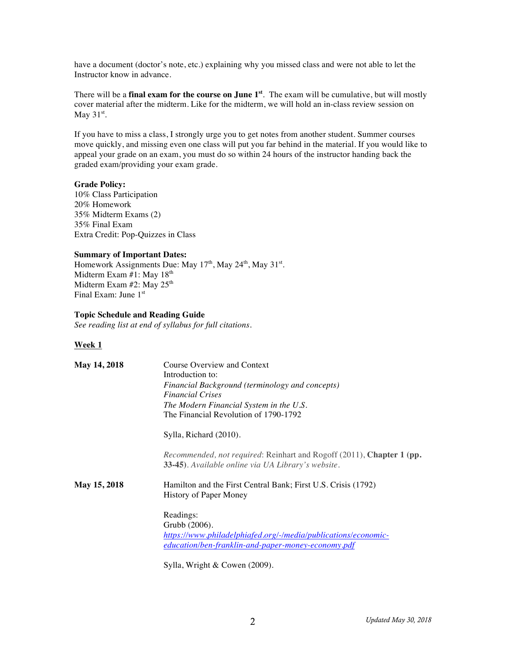have a document (doctor's note, etc.) explaining why you missed class and were not able to let the Instructor know in advance.

There will be a **final exam for the course on June 1st**. The exam will be cumulative, but will mostly cover material after the midterm. Like for the midterm, we will hold an in-class review session on May  $31<sup>st</sup>$ .

If you have to miss a class, I strongly urge you to get notes from another student. Summer courses move quickly, and missing even one class will put you far behind in the material. If you would like to appeal your grade on an exam, you must do so within 24 hours of the instructor handing back the graded exam/providing your exam grade.

## **Grade Policy:**

10% Class Participation 20% Homework 35% Midterm Exams (2) 35% Final Exam Extra Credit: Pop-Quizzes in Class

### **Summary of Important Dates:**

Homework Assignments Due: May  $17<sup>th</sup>$ , May  $24<sup>th</sup>$ , May  $31<sup>st</sup>$ . Midterm Exam #1: May 18<sup>th</sup> Midterm Exam  $#2$ : May  $25<sup>th</sup>$ Final Exam: June 1st

### **Topic Schedule and Reading Guide**

*See reading list at end of syllabus for full citations.*

## **Week 1**

| May 14, 2018 | Course Overview and Context<br>Introduction to:<br>Financial Background (terminology and concepts)<br><b>Financial Crises</b>                      |
|--------------|----------------------------------------------------------------------------------------------------------------------------------------------------|
|              | The Modern Financial System in the U.S.<br>The Financial Revolution of 1790-1792                                                                   |
|              | Sylla, Richard (2010).                                                                                                                             |
|              | <i>Recommended, not required: Reinhart and Rogoff (2011), Chapter 1 (pp.</i><br>33-45). Available online via UA Library's website.                 |
| May 15, 2018 | Hamilton and the First Central Bank; First U.S. Crisis (1792)<br>History of Paper Money                                                            |
|              | Readings:<br>Grubb (2006).<br>https://www.philadelphiafed.org/-/media/publications/economic-<br>education/ben-franklin-and-paper-money-economy.pdf |

Sylla, Wright & Cowen (2009).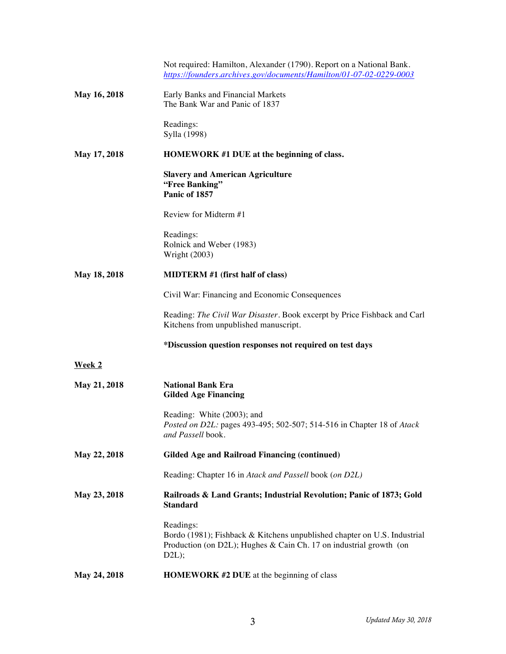|              | Not required: Hamilton, Alexander (1790). Report on a National Bank.<br>https://founders.archives.gov/documents/Hamilton/01-07-02-0229-0003                           |
|--------------|-----------------------------------------------------------------------------------------------------------------------------------------------------------------------|
| May 16, 2018 | Early Banks and Financial Markets<br>The Bank War and Panic of 1837                                                                                                   |
|              | Readings:<br>Sylla (1998)                                                                                                                                             |
| May 17, 2018 | HOMEWORK #1 DUE at the beginning of class.                                                                                                                            |
|              | <b>Slavery and American Agriculture</b><br>"Free Banking"<br>Panic of 1857                                                                                            |
|              | Review for Midterm #1                                                                                                                                                 |
|              | Readings:<br>Rolnick and Weber (1983)<br><b>Wright (2003)</b>                                                                                                         |
| May 18, 2018 | <b>MIDTERM</b> #1 (first half of class)                                                                                                                               |
|              | Civil War: Financing and Economic Consequences                                                                                                                        |
|              | Reading: The Civil War Disaster. Book excerpt by Price Fishback and Carl<br>Kitchens from unpublished manuscript.                                                     |
|              | *Discussion question responses not required on test days                                                                                                              |
| Week 2       |                                                                                                                                                                       |
| May 21, 2018 | <b>National Bank Era</b><br><b>Gilded Age Financing</b>                                                                                                               |
|              | Reading: White (2003); and<br>Posted on D2L: pages 493-495; 502-507; 514-516 in Chapter 18 of Atack<br>and Passell book.                                              |
| May 22, 2018 | <b>Gilded Age and Railroad Financing (continued)</b>                                                                                                                  |
|              | Reading: Chapter 16 in Atack and Passell book (on D2L)                                                                                                                |
| May 23, 2018 | Railroads & Land Grants; Industrial Revolution; Panic of 1873; Gold<br><b>Standard</b>                                                                                |
|              | Readings:<br>Bordo (1981); Fishback & Kitchens unpublished chapter on U.S. Industrial<br>Production (on D2L); Hughes $& Can Ch. 17$ on industrial growth (on<br>D2L); |
| May 24, 2018 | HOMEWORK #2 DUE at the beginning of class                                                                                                                             |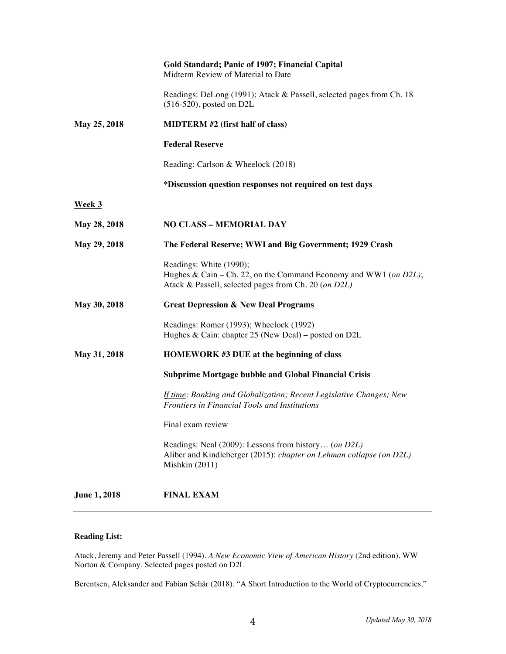|                     | <b>Gold Standard; Panic of 1907; Financial Capital</b><br>Midterm Review of Material to Date                                                         |
|---------------------|------------------------------------------------------------------------------------------------------------------------------------------------------|
|                     | Readings: DeLong (1991); Atack & Passell, selected pages from Ch. 18<br>$(516-520)$ , posted on D2L                                                  |
| May 25, 2018        | <b>MIDTERM</b> #2 (first half of class)                                                                                                              |
|                     | <b>Federal Reserve</b>                                                                                                                               |
|                     | Reading: Carlson & Wheelock (2018)                                                                                                                   |
|                     | *Discussion question responses not required on test days                                                                                             |
| <b>Week 3</b>       |                                                                                                                                                      |
| May 28, 2018        | <b>NO CLASS - MEMORIAL DAY</b>                                                                                                                       |
| May 29, 2018        | The Federal Reserve; WWI and Big Government; 1929 Crash                                                                                              |
|                     | Readings: White (1990);<br>Hughes & Cain – Ch. 22, on the Command Economy and WW1 (on D2L);<br>Atack & Passell, selected pages from Ch. 20 (on D2L)  |
| May 30, 2018        | <b>Great Depression &amp; New Deal Programs</b>                                                                                                      |
|                     | Readings: Romer (1993); Wheelock (1992)<br>Hughes & Cain: chapter 25 (New Deal) – posted on D2L                                                      |
| May 31, 2018        | <b>HOMEWORK #3 DUE at the beginning of class</b>                                                                                                     |
|                     | <b>Subprime Mortgage bubble and Global Financial Crisis</b>                                                                                          |
|                     | <b>If time: Banking and Globalization; Recent Legislative Changes; New</b><br><b>Frontiers in Financial Tools and Institutions</b>                   |
|                     | Final exam review                                                                                                                                    |
|                     | Readings: Neal (2009): Lessons from history (on D2L)<br>Aliber and Kindleberger (2015): chapter on Lehman collapse (on D2L)<br><b>Mishkin</b> (2011) |
| <b>June 1, 2018</b> | <b>FINAL EXAM</b>                                                                                                                                    |

# **Reading List:**

Atack, Jeremy and Peter Passell (1994). *A New Economic View of American History* (2nd edition). WW Norton & Company. Selected pages posted on D2L

Berentsen, Aleksander and Fabian Schär (2018). "A Short Introduction to the World of Cryptocurrencies."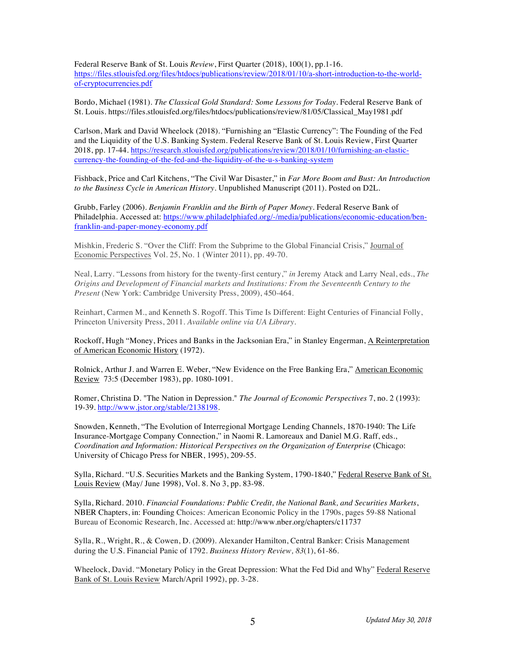Federal Reserve Bank of St. Louis *Review*, First Quarter (2018), 100(1), pp.1-16. https://files.stlouisfed.org/files/htdocs/publications/review/2018/01/10/a-short-introduction-to-the-worldof-cryptocurrencies.pdf

Bordo, Michael (1981). *The Classical Gold Standard: Some Lessons for Today*. Federal Reserve Bank of St. Louis. https://files.stlouisfed.org/files/htdocs/publications/review/81/05/Classical\_May1981.pdf

Carlson, Mark and David Wheelock (2018). "Furnishing an "Elastic Currency": The Founding of the Fed and the Liquidity of the U.S. Banking System. Federal Reserve Bank of St. Louis Review, First Quarter 2018, pp. 17-44. https://research.stlouisfed.org/publications/review/2018/01/10/furnishing-an-elasticcurrency-the-founding-of-the-fed-and-the-liquidity-of-the-u-s-banking-system

Fishback, Price and Carl Kitchens, "The Civil War Disaster," in *Far More Boom and Bust: An Introduction to the Business Cycle in American History*. Unpublished Manuscript (2011). Posted on D2L.

Grubb, Farley (2006). *Benjamin Franklin and the Birth of Paper Money*. Federal Reserve Bank of Philadelphia. Accessed at: https://www.philadelphiafed.org/-/media/publications/economic-education/benfranklin-and-paper-money-economy.pdf

Mishkin, Frederic S. "Over the Cliff: From the Subprime to the Global Financial Crisis," Journal of Economic Perspectives Vol. 25, No. 1 (Winter 2011), pp. 49-70.

Neal, Larry. "Lessons from history for the twenty-first century," *in* Jeremy Atack and Larry Neal, eds., *The Origins and Development of Financial markets and Institutions: From the Seventeenth Century to the Present* (New York: Cambridge University Press, 2009), 450-464.

Reinhart, Carmen M., and Kenneth S. Rogoff. This Time Is Different: Eight Centuries of Financial Folly, Princeton University Press, 2011. *Available online via UA Library.*

Rockoff, Hugh "Money, Prices and Banks in the Jacksonian Era," in Stanley Engerman, A Reinterpretation of American Economic History (1972).

Rolnick, Arthur J. and Warren E. Weber, "New Evidence on the Free Banking Era," American Economic Review 73:5 (December 1983), pp. 1080-1091.

Romer, Christina D. "The Nation in Depression." *The Journal of Economic Perspectives* 7, no. 2 (1993): 19-39. http://www.jstor.org/stable/2138198.

Snowden, Kenneth, "The Evolution of Interregional Mortgage Lending Channels, 1870-1940: The Life Insurance-Mortgage Company Connection," in Naomi R. Lamoreaux and Daniel M.G. Raff, eds., *Coordination and Information: Historical Perspectives on the Organization of Enterprise* (Chicago: University of Chicago Press for NBER, 1995), 209-55.

Sylla, Richard. "U.S. Securities Markets and the Banking System, 1790-1840," Federal Reserve Bank of St. Louis Review (May/ June 1998), Vol. 8. No 3, pp. 83-98.

Sylla, Richard. 2010. *Financial Foundations: Public Credit, the National Bank, and Securities Markets*, NBER Chapters, in: Founding Choices: American Economic Policy in the 1790s, pages 59-88 National Bureau of Economic Research, Inc. Accessed at: http://www.nber.org/chapters/c11737

Sylla, R., Wright, R., & Cowen, D. (2009). Alexander Hamilton, Central Banker: Crisis Management during the U.S. Financial Panic of 1792. *Business History Review, 83*(1), 61-86.

Wheelock, David. "Monetary Policy in the Great Depression: What the Fed Did and Why" Federal Reserve Bank of St. Louis Review March/April 1992), pp. 3-28.